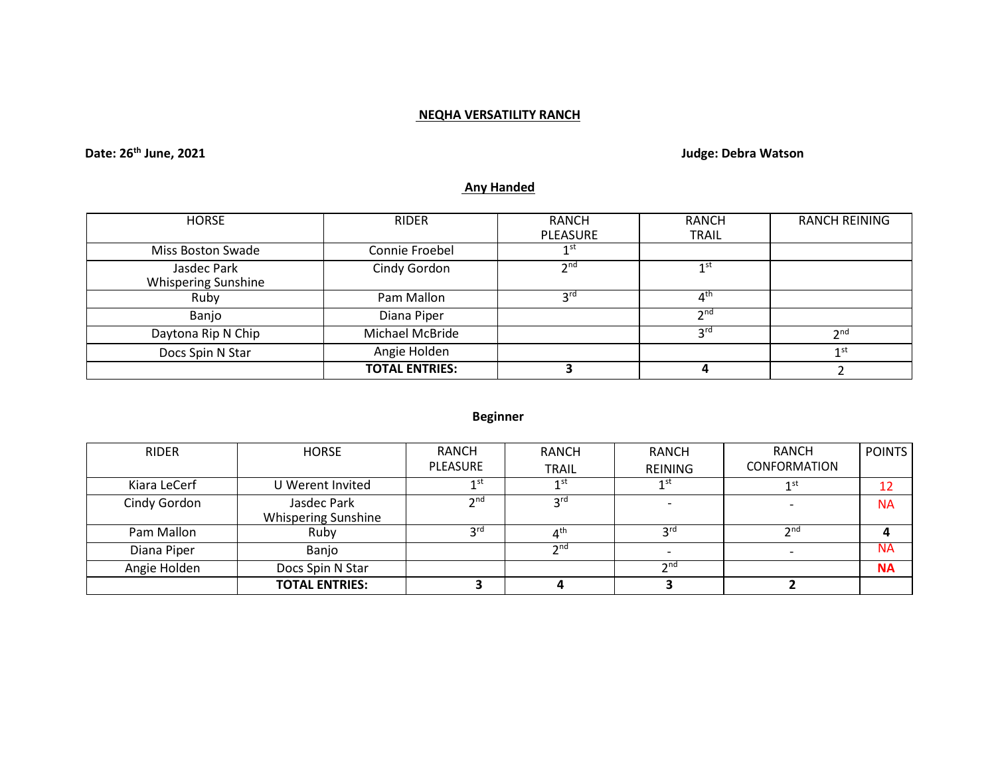### **NEQHA VERSATILITY RANCH**

## **Date: 26th June, 2021 Judge: Debra Watson**

# **Any Handed**

| <b>HORSE</b>                              | <b>RIDER</b>          | <b>RANCH</b>    | RANCH           | <b>RANCH REINING</b> |
|-------------------------------------------|-----------------------|-----------------|-----------------|----------------------|
|                                           |                       | <b>PLEASURE</b> | <b>TRAIL</b>    |                      |
| Miss Boston Swade                         | Connie Froebel        | 1 st            |                 |                      |
| Jasdec Park<br><b>Whispering Sunshine</b> | Cindy Gordon          | 2 <sub>nd</sub> | 1 <sup>st</sup> |                      |
| Ruby                                      | Pam Mallon            | <b>2rd</b>      | 4 <sup>th</sup> |                      |
| Banjo                                     | Diana Piper           |                 | 2 <sub>nd</sub> |                      |
| Daytona Rip N Chip                        | Michael McBride       |                 | 3 <sup>rd</sup> | 2 <sub>nd</sub>      |
| Docs Spin N Star                          | Angie Holden          |                 |                 | 1 <sup>st</sup>      |
|                                           | <b>TOTAL ENTRIES:</b> |                 |                 |                      |

### **Beginner**

| <b>RIDER</b> | <b>HORSE</b>                              | RANCH<br>PLEASURE | <b>RANCH</b><br><b>TRAIL</b> | <b>RANCH</b><br><b>REINING</b> | <b>RANCH</b><br>CONFORMATION | <b>POINTS</b> |
|--------------|-------------------------------------------|-------------------|------------------------------|--------------------------------|------------------------------|---------------|
| Kiara LeCerf | U Werent Invited                          | 1 <sup>st</sup>   | 1 st                         | 1st                            | 1st                          | 12            |
| Cindy Gordon | Jasdec Park<br><b>Whispering Sunshine</b> | 2 <sub>nd</sub>   | ord                          |                                |                              | <b>NA</b>     |
| Pam Mallon   | Ruby                                      | <b>2rd</b>        |                              | 2 <sub>rc</sub>                | $\bm{\gamma}$ nd             |               |
| Diana Piper  | Banjo                                     |                   | $\mathsf{\small \neg}$ nd    |                                |                              | <b>NA</b>     |
| Angie Holden | Docs Spin N Star                          |                   |                              | $\gamma$ nd                    |                              | <b>NA</b>     |
|              | <b>TOTAL ENTRIES:</b>                     |                   |                              |                                |                              |               |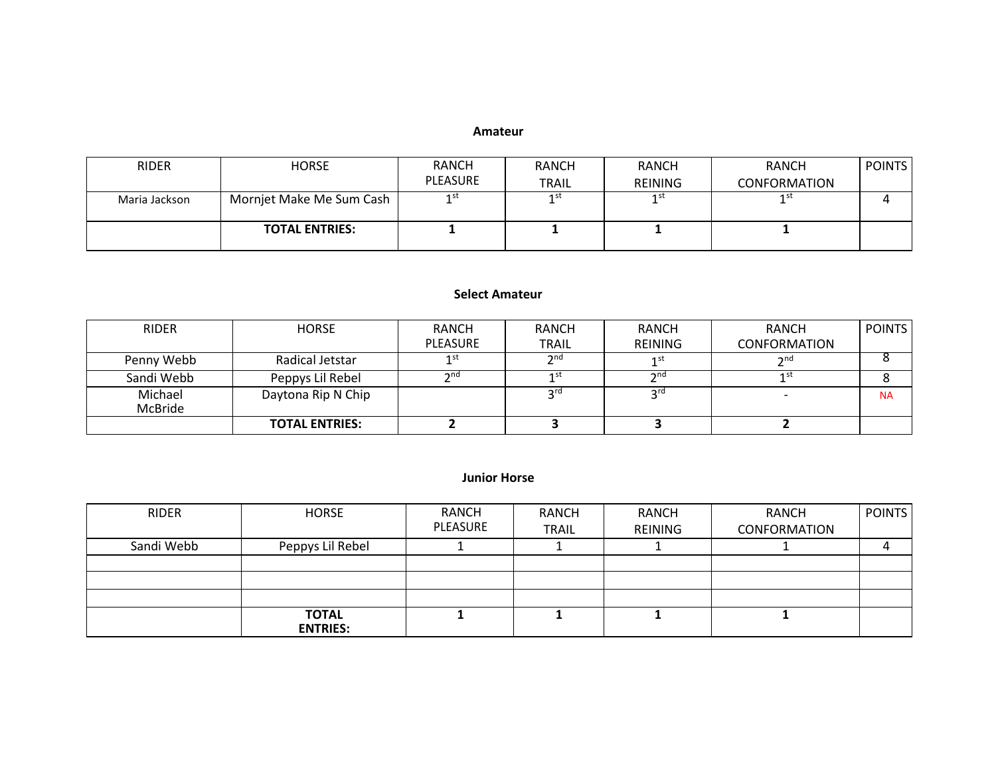#### **Amateur**

| <b>RIDER</b>  | <b>HORSE</b>             | <b>RANCH</b> | <b>RANCH</b> | <b>RANCH</b>   | <b>RANCH</b>        | <b>POINTS</b> |
|---------------|--------------------------|--------------|--------------|----------------|---------------------|---------------|
|               |                          | PLEASURE     | <b>TRAIL</b> | <b>REINING</b> | <b>CONFORMATION</b> |               |
| Maria Jackson | Mornjet Make Me Sum Cash | 1st          | 1st          | 1st            | 1st                 |               |
|               | <b>TOTAL ENTRIES:</b>    |              |              |                |                     |               |

#### **Select Amateur**

| <b>RIDER</b>       | <b>HORSE</b>          | RANCH           | RANCH           | <b>RANCH</b>         | RANCH               | <b>POINTS</b> |
|--------------------|-----------------------|-----------------|-----------------|----------------------|---------------------|---------------|
|                    |                       | <b>PLEASURE</b> | <b>TRAIL</b>    | <b>REINING</b>       | <b>CONFORMATION</b> |               |
| Penny Webb         | Radical Jetstar       | 1st             | 2 <sub>nd</sub> | 1st                  | $\gamma$ nd         |               |
| Sandi Webb         | Peppys Lil Rebel      | າ nd            | 1st             | $\mathbf{\gamma}$ nd | 1 st                |               |
| Michael<br>McBride | Daytona Rip N Chip    |                 | <b>2rd</b>      | ord                  |                     | <b>NA</b>     |
|                    | <b>TOTAL ENTRIES:</b> |                 |                 |                      |                     |               |

#### **Junior Horse**

| <b>RIDER</b> | <b>HORSE</b>                    | RANCH<br>PLEASURE | RANCH<br><b>TRAIL</b> | <b>RANCH</b><br>REINING | RANCH<br><b>CONFORMATION</b> | <b>POINTS</b> |
|--------------|---------------------------------|-------------------|-----------------------|-------------------------|------------------------------|---------------|
| Sandi Webb   | Peppys Lil Rebel                |                   |                       |                         |                              |               |
|              |                                 |                   |                       |                         |                              |               |
|              |                                 |                   |                       |                         |                              |               |
|              |                                 |                   |                       |                         |                              |               |
|              | <b>TOTAL</b><br><b>ENTRIES:</b> |                   |                       |                         |                              |               |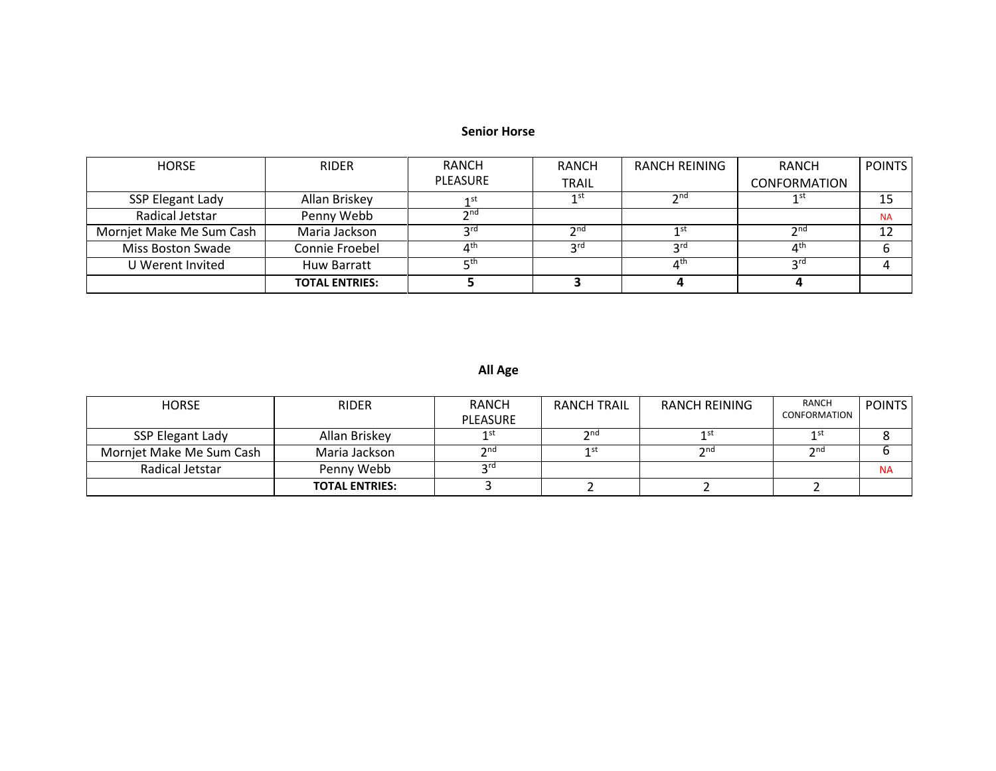#### **Senior Horse**

| <b>HORSE</b>             | <b>RIDER</b>          | RANCH                            | <b>RANCH</b>    | RANCH REINING                    | <b>RANCH</b>           | <b>POINTS</b> |
|--------------------------|-----------------------|----------------------------------|-----------------|----------------------------------|------------------------|---------------|
|                          |                       | <b>PLEASURE</b>                  | <b>TRAIL</b>    |                                  | <b>CONFORMATION</b>    |               |
| SSP Elegant Lady         | Allan Briskey         | 1 st                             | 1st             | 2 <sub>nd</sub>                  | 1 st                   | 15            |
| Radical Jetstar          | Penny Webb            | 2n <sub>0</sub>                  |                 |                                  |                        | <b>NA</b>     |
| Mornjet Make Me Sum Cash | Maria Jackson         | 2rd                              | 2 <sub>nd</sub> | 1st                              | $\mathbf{\Im}$ nd      | 12            |
| Miss Boston Swade        | Connie Froebel        | $\mathbf{\Lambda}^{\texttt{th}}$ | ົງ rd           | ⊃rd                              | $\Lambda$ <sup>u</sup> |               |
| U Werent Invited         | <b>Huw Barratt</b>    | ∟⊏th                             |                 | $\mathbf{\Lambda}^{\textsf{th}}$ | rdی c                  |               |
|                          | <b>TOTAL ENTRIES:</b> |                                  |                 |                                  |                        |               |

## **All Age**

| <b>HORSE</b>             | <b>RIDER</b>          | RANCH<br>PLEASURE    | <b>RANCH TRAIL</b> | RANCH REINING | RANCH<br>CONFORMATION | <b>POINTS</b> |
|--------------------------|-----------------------|----------------------|--------------------|---------------|-----------------------|---------------|
| SSP Elegant Lady         | Allan Briskey         | 1 st                 | $\gamma$ nd        | 1 SI          | 1 Sเ                  |               |
| Morniet Make Me Sum Cash | Maria Jackson         | $\mathsf{\gamma}$ nd |                    | $\gamma$ nd   | $\mathsf{\gamma}$ nd  |               |
| Radical Jetstar          | Penny Webb            | <b>2rd</b>           |                    |               |                       | <b>NA</b>     |
|                          | <b>TOTAL ENTRIES:</b> |                      |                    |               |                       |               |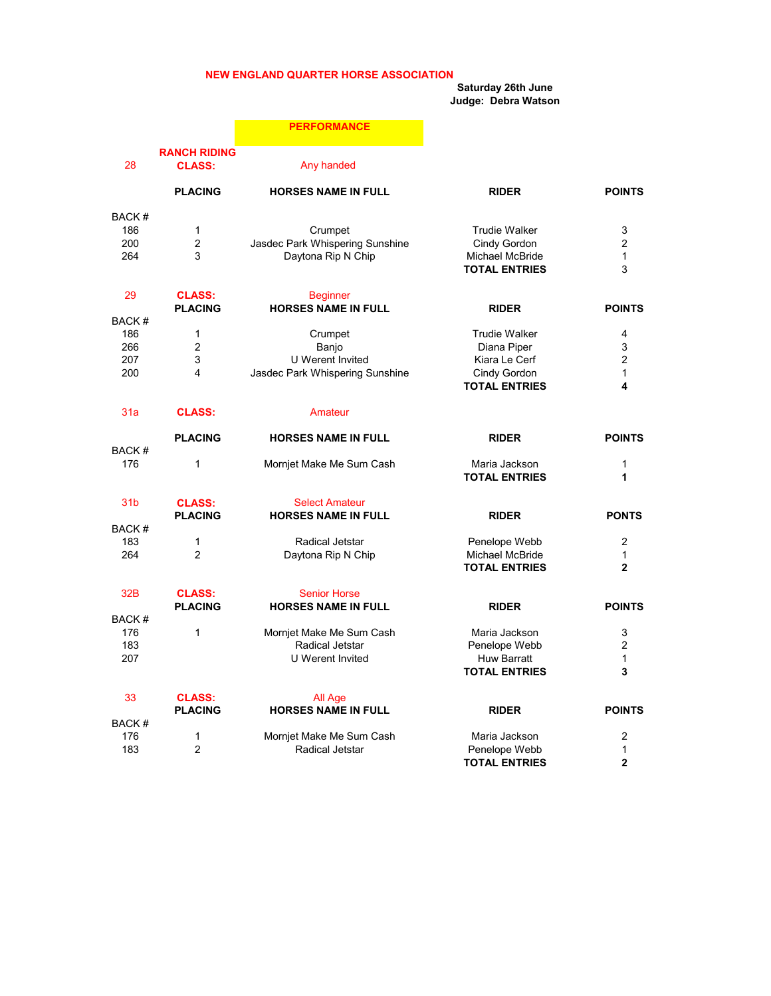#### NEW ENGLAND QUARTER HORSE ASSOCIATION

Saturday 26th June

Judge: Debra Watson

|                          |                                          | <b>PERFORMANCE</b>                                                             |                                                                                              |                                               |
|--------------------------|------------------------------------------|--------------------------------------------------------------------------------|----------------------------------------------------------------------------------------------|-----------------------------------------------|
| 28                       | <b>RANCH RIDING</b><br><b>CLASS:</b>     | Any handed                                                                     |                                                                                              |                                               |
|                          | <b>PLACING</b>                           | <b>HORSES NAME IN FULL</b>                                                     | <b>RIDER</b>                                                                                 | <b>POINTS</b>                                 |
| BACK#<br>186<br>200      | $\mathbf{1}$<br>$\overline{2}$           | Crumpet<br>Jasdec Park Whispering Sunshine                                     | <b>Trudie Walker</b><br>Cindy Gordon                                                         | 3<br>$\overline{2}$                           |
| 264                      | 3                                        | Daytona Rip N Chip                                                             | Michael McBride<br><b>TOTAL ENTRIES</b>                                                      | $\mathbf{1}$<br>3                             |
| 29<br>BACK#              | <b>CLASS:</b><br><b>PLACING</b>          | <b>Beginner</b><br><b>HORSES NAME IN FULL</b>                                  | <b>RIDER</b>                                                                                 | <b>POINTS</b>                                 |
| 186<br>266<br>207<br>200 | $\mathbf{1}$<br>$\overline{2}$<br>3<br>4 | Crumpet<br>Banjo<br><b>U</b> Werent Invited<br>Jasdec Park Whispering Sunshine | <b>Trudie Walker</b><br>Diana Piper<br>Kiara Le Cerf<br>Cindy Gordon<br><b>TOTAL ENTRIES</b> | 4<br>3<br>$\overline{2}$<br>$\mathbf{1}$<br>4 |
| 31a                      | <b>CLASS:</b>                            | Amateur                                                                        |                                                                                              |                                               |
| BACK#                    | <b>PLACING</b>                           | <b>HORSES NAME IN FULL</b>                                                     | <b>RIDER</b>                                                                                 | <b>POINTS</b>                                 |
| 176                      | $\mathbf{1}$                             | Mornjet Make Me Sum Cash                                                       | Maria Jackson<br><b>TOTAL ENTRIES</b>                                                        | $\mathbf{1}$<br>1                             |
| 31 <sub>b</sub>          | <b>CLASS:</b><br><b>PLACING</b>          | <b>Select Amateur</b><br><b>HORSES NAME IN FULL</b>                            | <b>RIDER</b>                                                                                 | <b>PONTS</b>                                  |
| BACK#<br>183             | $\mathbf{1}$                             | Radical Jetstar                                                                | Penelope Webb                                                                                | $\overline{c}$                                |
| 264                      | $\overline{2}$                           | Daytona Rip N Chip                                                             | Michael McBride<br><b>TOTAL ENTRIES</b>                                                      | $\mathbf 1$<br>$\mathbf{2}$                   |
| 32B<br>BACK#             | <b>CLASS:</b><br><b>PLACING</b>          | <b>Senior Horse</b><br><b>HORSES NAME IN FULL</b>                              | <b>RIDER</b>                                                                                 | <b>POINTS</b>                                 |
| 176<br>183<br>207        | $\mathbf{1}$                             | Mornjet Make Me Sum Cash<br>Radical Jetstar<br><b>U</b> Werent Invited         | Maria Jackson<br>Penelope Webb<br><b>Huw Barratt</b><br><b>TOTAL ENTRIES</b>                 | 3<br>2<br>$\mathbf{1}$<br>3                   |
| 33                       | <b>CLASS:</b><br><b>PLACING</b>          | All Age<br><b>HORSES NAME IN FULL</b>                                          | <b>RIDER</b>                                                                                 | <b>POINTS</b>                                 |
| BACK#<br>176<br>183      | $\mathbf{1}$<br>$\overline{2}$           | Mornjet Make Me Sum Cash<br>Radical Jetstar                                    | Maria Jackson<br>Penelope Webb<br><b>TOTAL ENTRIES</b>                                       | 2<br>$\mathbf{1}$<br>$\overline{2}$           |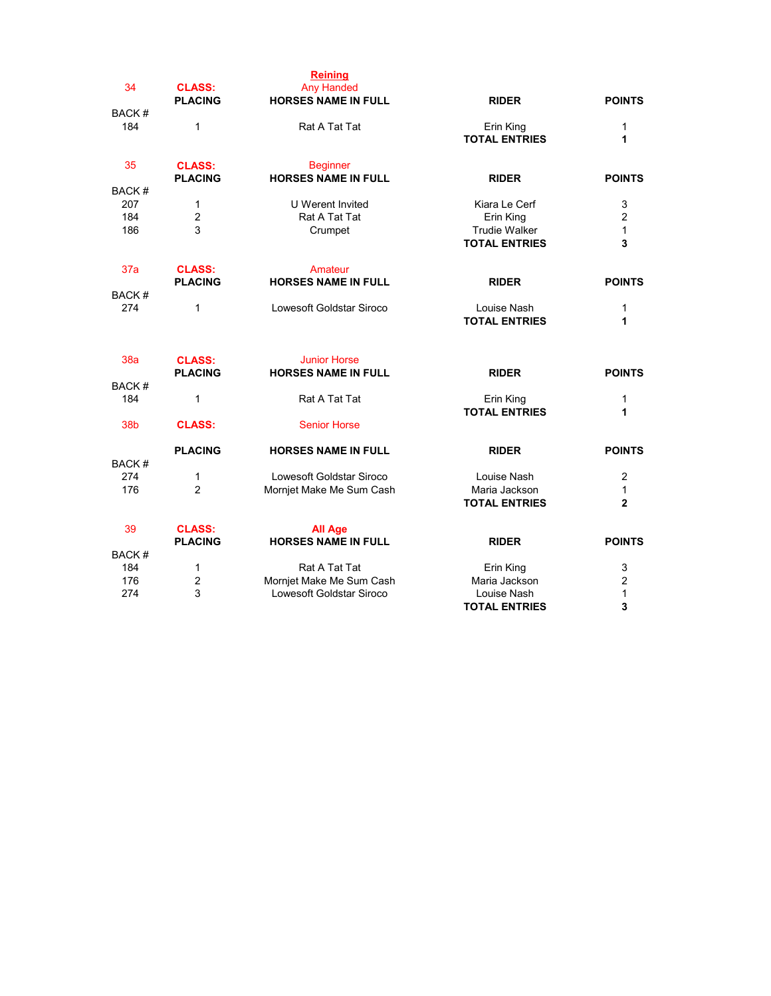| 34           | <b>CLASS:</b><br><b>PLACING</b> | <b>Reining</b><br><b>Any Handed</b><br><b>HORSES NAME IN FULL</b> | <b>RIDER</b>                                 | <b>POINTS</b>     |
|--------------|---------------------------------|-------------------------------------------------------------------|----------------------------------------------|-------------------|
| BACK#        |                                 |                                                                   |                                              |                   |
| 184          | $\mathbf 1$                     | Rat A Tat Tat                                                     | Erin King<br><b>TOTAL ENTRIES</b>            | 1<br>1            |
| 35           | <b>CLASS:</b><br><b>PLACING</b> | <b>Beginner</b><br><b>HORSES NAME IN FULL</b>                     | <b>RIDER</b>                                 | <b>POINTS</b>     |
| <b>BACK#</b> |                                 |                                                                   |                                              |                   |
| 207          | $\mathbf 1$                     | <b>U</b> Werent Invited                                           | Kiara Le Cerf                                | 3                 |
| 184          | $\overline{2}$                  | Rat A Tat Tat                                                     | Erin King                                    | $\overline{2}$    |
| 186          | 3                               | Crumpet                                                           | <b>Trudie Walker</b><br><b>TOTAL ENTRIES</b> | $\mathbf{1}$<br>3 |
| 37a          | <b>CLASS:</b><br><b>PLACING</b> | Amateur<br><b>HORSES NAME IN FULL</b>                             | <b>RIDER</b>                                 | <b>POINTS</b>     |
| BACK#        |                                 |                                                                   |                                              |                   |
| 274          | $\mathbf 1$                     | Lowesoft Goldstar Siroco                                          | Louise Nash<br><b>TOTAL ENTRIES</b>          | 1<br>1            |
| 38a          | <b>CLASS:</b><br><b>PLACING</b> | <b>Junior Horse</b><br><b>HORSES NAME IN FULL</b>                 | <b>RIDER</b>                                 | <b>POINTS</b>     |
| BACK#        |                                 |                                                                   |                                              |                   |
| 184          | $\mathbf 1$                     | Rat A Tat Tat                                                     | Erin King<br><b>TOTAL ENTRIES</b>            | 1<br>1            |
| 38b          | <b>CLASS:</b>                   | <b>Senior Horse</b>                                               |                                              |                   |
|              | <b>PLACING</b>                  | <b>HORSES NAME IN FULL</b>                                        | <b>RIDER</b>                                 | <b>POINTS</b>     |
| BACK#        |                                 |                                                                   |                                              |                   |
| 274          | $\mathbf 1$                     | Lowesoft Goldstar Siroco                                          | Louise Nash                                  | 2                 |
| 176          | $\overline{2}$                  | Mornjet Make Me Sum Cash                                          | Maria Jackson<br><b>TOTAL ENTRIES</b>        | 1<br>$\mathbf{2}$ |
| 39           | <b>CLASS:</b>                   | <b>All Age</b>                                                    |                                              |                   |
|              | <b>PLACING</b>                  | <b>HORSES NAME IN FULL</b>                                        | <b>RIDER</b>                                 | <b>POINTS</b>     |
| BACK#        |                                 |                                                                   |                                              |                   |
| 184          | $\mathbf 1$                     | Rat A Tat Tat                                                     | Erin King                                    | 3                 |
| 176          | 2                               | Mornjet Make Me Sum Cash                                          | Maria Jackson                                | $\overline{c}$    |
| 274          | 3                               | Lowesoft Goldstar Siroco                                          | Louise Nash<br><b>TOTAL ENTRIES</b>          | $\mathbf{1}$<br>3 |
|              |                                 |                                                                   |                                              |                   |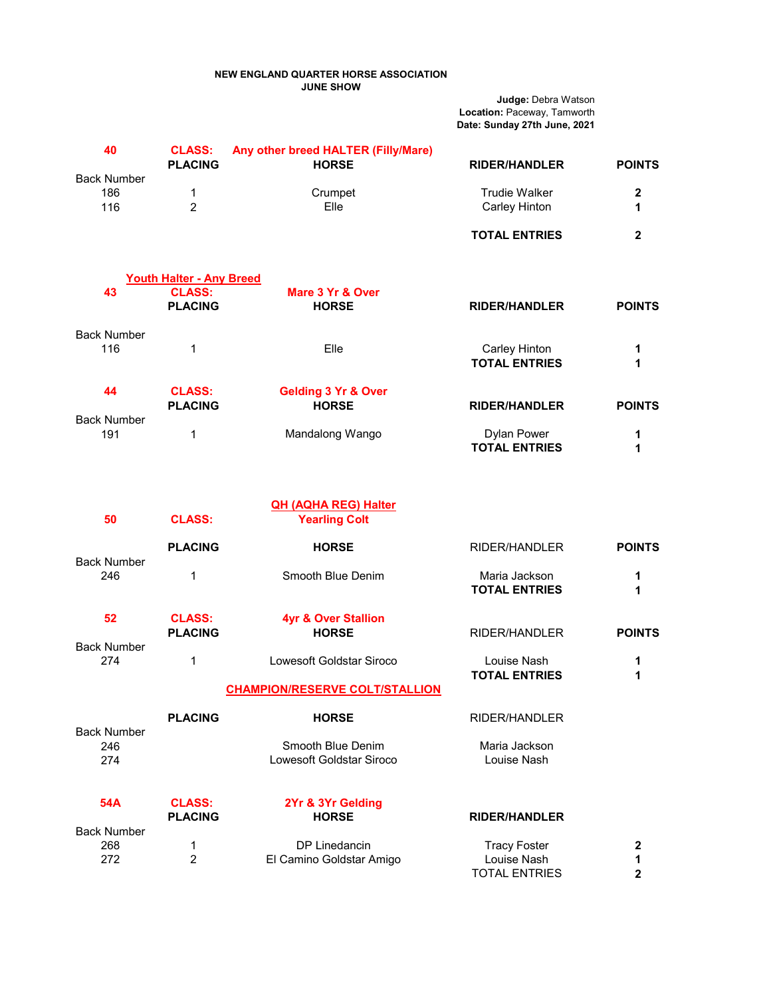#### NEW ENGLAND QUARTER HORSE ASSOCIATION JUNE SHOW

Judge: Debra Watson Location: Paceway, Tamworth Date: Sunday 27th June, 2021

| 40                               | <b>CLASS:</b><br><b>PLACING</b>                  | Any other breed HALTER (Filly/Mare)<br><b>HORSE</b>  | <b>RIDER/HANDLER</b>                                       | <b>POINTS</b>    |
|----------------------------------|--------------------------------------------------|------------------------------------------------------|------------------------------------------------------------|------------------|
| <b>Back Number</b><br>186<br>116 | 1<br>$\overline{2}$                              | Crumpet<br>Elle                                      | <b>Trudie Walker</b><br>Carley Hinton                      | $\mathbf 2$<br>1 |
|                                  |                                                  |                                                      | <b>TOTAL ENTRIES</b>                                       | $\mathbf{2}$     |
| 43                               | <b>Youth Halter - Any Breed</b><br><b>CLASS:</b> | Mare 3 Yr & Over                                     |                                                            |                  |
|                                  | <b>PLACING</b>                                   | <b>HORSE</b>                                         | <b>RIDER/HANDLER</b>                                       | <b>POINTS</b>    |
| <b>Back Number</b><br>116        | 1                                                | Elle                                                 | <b>Carley Hinton</b><br><b>TOTAL ENTRIES</b>               | 1<br>1           |
| 44                               | <b>CLASS:</b><br><b>PLACING</b>                  | <b>Gelding 3 Yr &amp; Over</b><br><b>HORSE</b>       | <b>RIDER/HANDLER</b>                                       | <b>POINTS</b>    |
| <b>Back Number</b><br>191        | 1                                                | Mandalong Wango                                      | <b>Dylan Power</b><br><b>TOTAL ENTRIES</b>                 | 1<br>1           |
| 50                               | <b>CLASS:</b>                                    | <b>QH (AQHA REG) Halter</b><br><b>Yearling Colt</b>  |                                                            |                  |
|                                  | <b>PLACING</b>                                   | <b>HORSE</b>                                         | RIDER/HANDLER                                              | <b>POINTS</b>    |
| <b>Back Number</b><br>246        | 1                                                | Smooth Blue Denim                                    | Maria Jackson<br><b>TOTAL ENTRIES</b>                      | 1<br>1           |
| 52                               | <b>CLASS:</b><br><b>PLACING</b>                  | <b>4yr &amp; Over Stallion</b><br><b>HORSE</b>       | RIDER/HANDLER                                              | <b>POINTS</b>    |
| <b>Back Number</b><br>274        | 1                                                | Lowesoft Goldstar Siroco                             | Louise Nash<br><b>TOTAL ENTRIES</b>                        | 1<br>1           |
|                                  |                                                  | <b>CHAMPION/RESERVE COLT/STALLION</b>                |                                                            |                  |
|                                  | <b>PLACING</b>                                   | <b>HORSE</b>                                         | <b>RIDER/HANDLER</b>                                       |                  |
| <b>Back Number</b><br>246<br>274 |                                                  | Smooth Blue Denim<br><b>Lowesoft Goldstar Siroco</b> | Maria Jackson<br>Louise Nash                               |                  |
| <b>54A</b>                       | <b>CLASS:</b><br><b>PLACING</b>                  | 2Yr & 3Yr Gelding<br><b>HORSE</b>                    | <b>RIDER/HANDLER</b>                                       |                  |
| <b>Back Number</b><br>268<br>272 | 1<br>$\overline{2}$                              | DP Linedancin<br>El Camino Goldstar Amigo            | <b>Tracy Foster</b><br>Louise Nash<br><b>TOTAL ENTRIES</b> | 2<br>1<br>2      |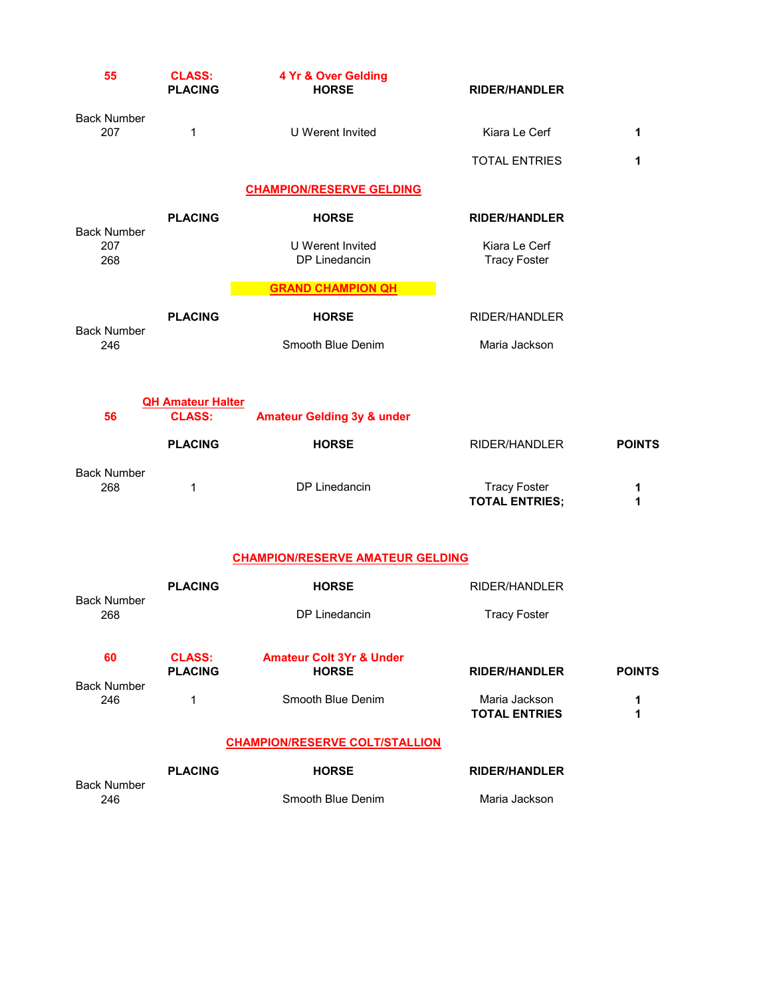| 55                               | <b>CLASS:</b><br><b>PLACING</b>           | 4 Yr & Over Gelding<br><b>HORSE</b>                 | <b>RIDER/HANDLER</b>                         |               |
|----------------------------------|-------------------------------------------|-----------------------------------------------------|----------------------------------------------|---------------|
| <b>Back Number</b><br>207        | 1                                         | U Werent Invited                                    | Kiara Le Cerf                                | 1             |
|                                  |                                           |                                                     | <b>TOTAL ENTRIES</b>                         | 1             |
|                                  |                                           | <b>CHAMPION/RESERVE GELDING</b>                     |                                              |               |
|                                  | <b>PLACING</b>                            | <b>HORSE</b>                                        | <b>RIDER/HANDLER</b>                         |               |
| <b>Back Number</b><br>207<br>268 |                                           | U Werent Invited<br>DP Linedancin                   | Kiara Le Cerf<br><b>Tracy Foster</b>         |               |
|                                  |                                           | <b>GRAND CHAMPION QH</b>                            |                                              |               |
|                                  | <b>PLACING</b>                            | <b>HORSE</b>                                        | <b>RIDER/HANDLER</b>                         |               |
| <b>Back Number</b><br>246        |                                           | Smooth Blue Denim                                   | Maria Jackson                                |               |
| 56                               | <b>QH Amateur Halter</b><br><b>CLASS:</b> | <b>Amateur Gelding 3y &amp; under</b>               |                                              |               |
|                                  | <b>PLACING</b>                            | <b>HORSE</b>                                        | RIDER/HANDLER                                | <b>POINTS</b> |
| <b>Back Number</b><br>268        | 1                                         | DP Linedancin                                       | <b>Tracy Foster</b><br><b>TOTAL ENTRIES;</b> | 1<br>1        |
|                                  |                                           | <b>CHAMPION/RESERVE AMATEUR GELDING</b>             |                                              |               |
|                                  | <b>PLACING</b>                            | <b>HORSE</b>                                        | RIDER/HANDLER                                |               |
| <b>Back Number</b><br>268        |                                           | DP Linedancin                                       | <b>Tracy Foster</b>                          |               |
| 60                               | <b>CLASS:</b><br><b>PLACING</b>           | <b>Amateur Colt 3Yr &amp; Under</b><br><b>HORSE</b> | <b>RIDER/HANDLER</b>                         | <b>POINTS</b> |
| <b>Back Number</b><br>246        | 1                                         | Smooth Blue Denim                                   | Maria Jackson<br><b>TOTAL ENTRIES</b>        | 1<br>1        |
|                                  |                                           | <b>CHAMPION/RESERVE COLT/STALLION</b>               |                                              |               |
|                                  | <b>PLACING</b>                            | <b>HORSE</b>                                        | <b>RIDER/HANDLER</b>                         |               |
| <b>Back Number</b><br>246        |                                           | Smooth Blue Denim                                   | Maria Jackson                                |               |
|                                  |                                           |                                                     |                                              |               |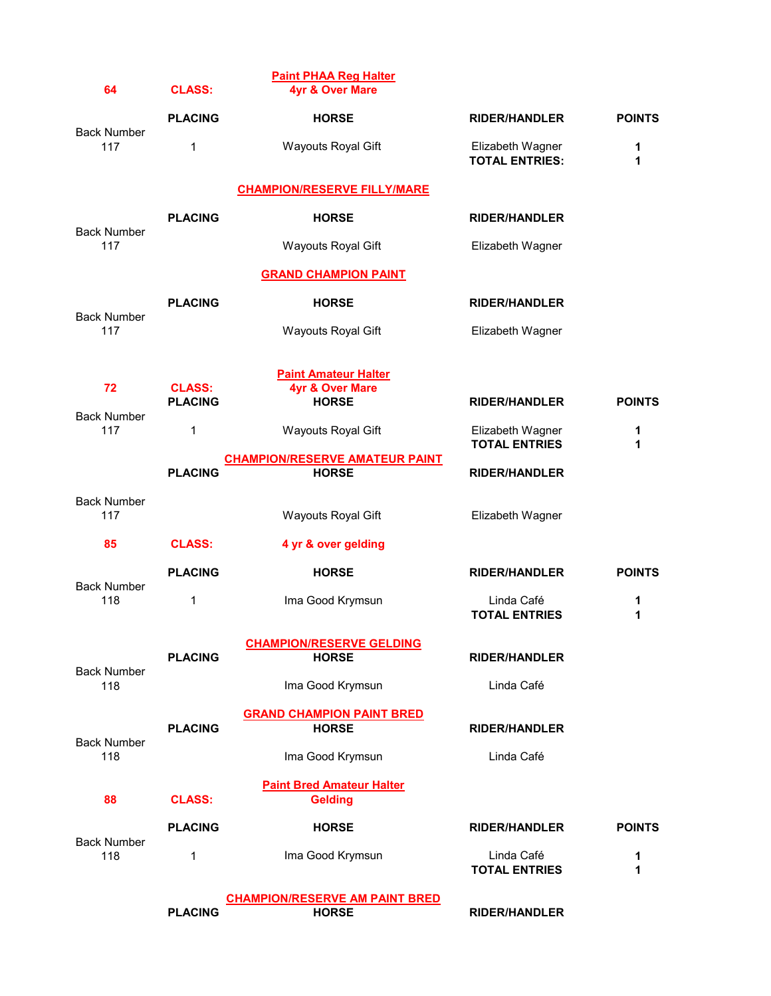| 64                        | <b>CLASS:</b>  | <b>Paint PHAA Reg Halter</b><br>4yr & Over Mare       |                                           |               |
|---------------------------|----------------|-------------------------------------------------------|-------------------------------------------|---------------|
|                           | <b>PLACING</b> | <b>HORSE</b>                                          | <b>RIDER/HANDLER</b>                      | <b>POINTS</b> |
| <b>Back Number</b><br>117 | 1              | Wayouts Royal Gift                                    | Elizabeth Wagner<br><b>TOTAL ENTRIES:</b> | 1<br>1        |
|                           |                | <b>CHAMPION/RESERVE FILLY/MARE</b>                    |                                           |               |
| <b>Back Number</b>        | <b>PLACING</b> | <b>HORSE</b>                                          | <b>RIDER/HANDLER</b>                      |               |
| 117                       |                | <b>Wayouts Royal Gift</b>                             | Elizabeth Wagner                          |               |
|                           |                | <b>GRAND CHAMPION PAINT</b>                           |                                           |               |
| <b>Back Number</b>        | <b>PLACING</b> | <b>HORSE</b>                                          | <b>RIDER/HANDLER</b>                      |               |
| 117                       |                | Wayouts Royal Gift                                    | Elizabeth Wagner                          |               |
|                           |                |                                                       |                                           |               |
| 72                        | <b>CLASS:</b>  | <b>Paint Amateur Halter</b><br>4yr & Over Mare        |                                           |               |
| <b>Back Number</b>        | <b>PLACING</b> | <b>HORSE</b>                                          | <b>RIDER/HANDLER</b>                      | <b>POINTS</b> |
| 117                       | 1              | Wayouts Royal Gift                                    | Elizabeth Wagner<br><b>TOTAL ENTRIES</b>  | 1<br>1        |
|                           | <b>PLACING</b> | <b>CHAMPION/RESERVE AMATEUR PAINT</b><br><b>HORSE</b> | <b>RIDER/HANDLER</b>                      |               |
| <b>Back Number</b>        |                |                                                       |                                           |               |
| 117                       |                | Wayouts Royal Gift                                    | Elizabeth Wagner                          |               |
| 85                        | <b>CLASS:</b>  | 4 yr & over gelding                                   |                                           |               |
| <b>Back Number</b>        | <b>PLACING</b> | <b>HORSE</b>                                          | <b>RIDER/HANDLER</b>                      | <b>POINTS</b> |
| 118                       | 1              | Ima Good Krymsun                                      | Linda Café<br><b>TOTAL ENTRIES</b>        | 1<br>1        |
|                           |                | <b>CHAMPION/RESERVE GELDING</b>                       |                                           |               |
| <b>Back Number</b>        | <b>PLACING</b> | <b>HORSE</b>                                          | <b>RIDER/HANDLER</b>                      |               |
| 118                       |                | Ima Good Krymsun                                      | Linda Café                                |               |
|                           | <b>PLACING</b> | <b>GRAND CHAMPION PAINT BRED</b><br><b>HORSE</b>      | <b>RIDER/HANDLER</b>                      |               |
| <b>Back Number</b><br>118 |                | Ima Good Krymsun                                      | Linda Café                                |               |
|                           |                |                                                       |                                           |               |
| 88                        | <b>CLASS:</b>  | <b>Paint Bred Amateur Halter</b><br><b>Gelding</b>    |                                           |               |
|                           | <b>PLACING</b> | <b>HORSE</b>                                          | <b>RIDER/HANDLER</b>                      | <b>POINTS</b> |
| <b>Back Number</b><br>118 | 1              | Ima Good Krymsun                                      | Linda Café<br><b>TOTAL ENTRIES</b>        | 1<br>1        |
|                           |                | <b>CHAMPION/RESERVE AM PAINT BRED</b>                 |                                           |               |
|                           | <b>PLACING</b> | <b>HORSE</b>                                          | <b>RIDER/HANDLER</b>                      |               |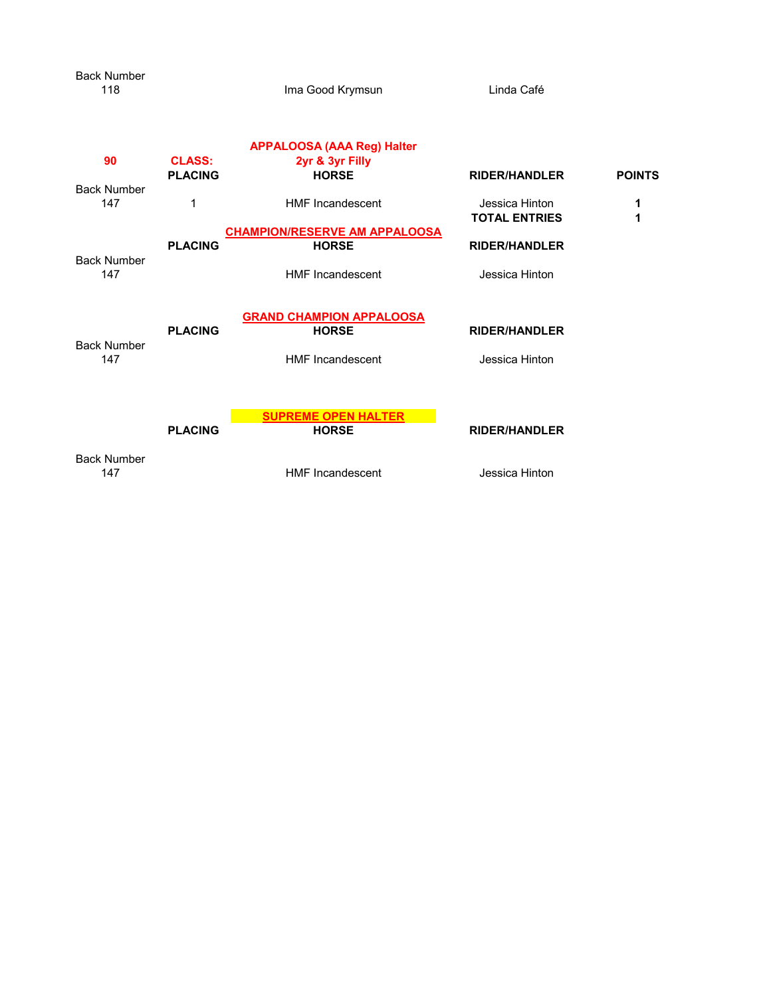| 118                       |                | Ima Good Krymsun                     | Linda Café                             |               |
|---------------------------|----------------|--------------------------------------|----------------------------------------|---------------|
|                           |                | <b>APPALOOSA (AAA Reg) Halter</b>    |                                        |               |
| 90                        | <b>CLASS:</b>  | 2yr & 3yr Filly                      |                                        |               |
|                           | <b>PLACING</b> | <b>HORSE</b>                         | <b>RIDER/HANDLER</b>                   | <b>POINTS</b> |
| <b>Back Number</b><br>147 | 1              | <b>HMF</b> Incandescent              | Jessica Hinton<br><b>TOTAL ENTRIES</b> | 1<br>1        |
|                           |                | <b>CHAMPION/RESERVE AM APPALOOSA</b> |                                        |               |
|                           | <b>PLACING</b> | <b>HORSE</b>                         | <b>RIDER/HANDLER</b>                   |               |
| <b>Back Number</b><br>147 |                | <b>HMF</b> Incandescent              | Jessica Hinton                         |               |
|                           |                | <b>GRAND CHAMPION APPALOOSA</b>      |                                        |               |
|                           | <b>PLACING</b> | <b>HORSE</b>                         | <b>RIDER/HANDLER</b>                   |               |
| <b>Back Number</b><br>147 |                | <b>HMF</b> Incandescent              | Jessica Hinton                         |               |
|                           |                | <b>SUPREME OPEN HALTER</b>           |                                        |               |
|                           | <b>PLACING</b> | <b>HORSE</b>                         | <b>RIDER/HANDLER</b>                   |               |
| <b>Back Number</b><br>147 |                | <b>HMF</b> Incandescent              | Jessica Hinton                         |               |
|                           |                |                                      |                                        |               |

Back Number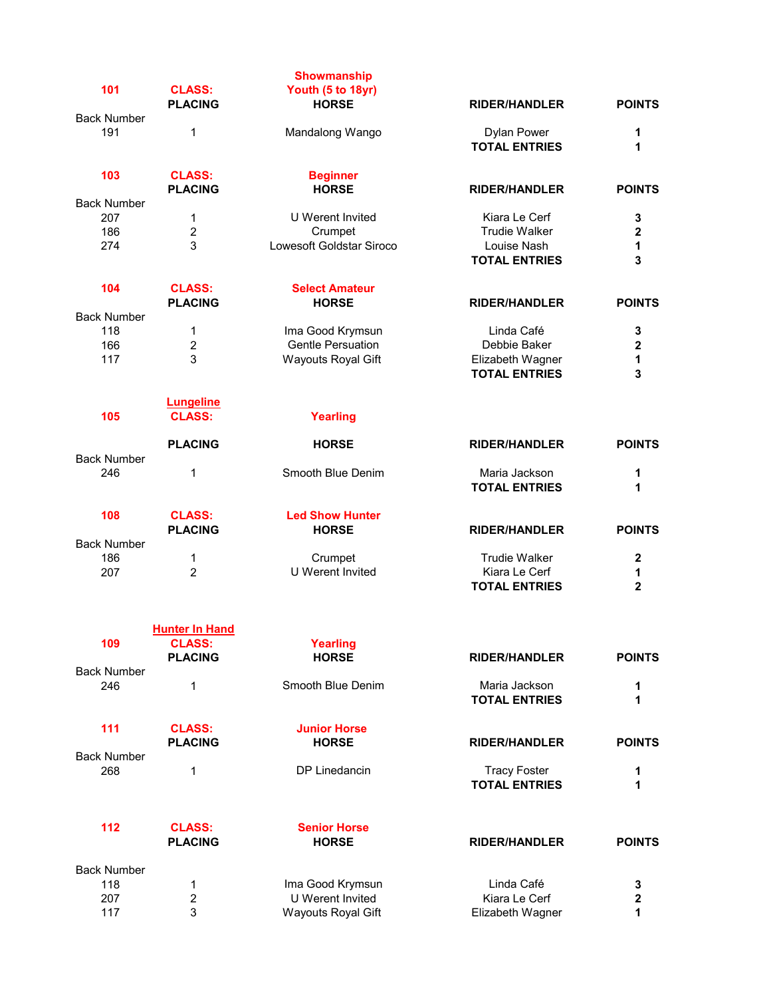| 101                       | <b>CLASS:</b><br><b>PLACING</b> | <b>Showmanship</b><br>Youth (5 to 18yr)<br><b>HORSE</b> | <b>RIDER/HANDLER</b>                  | <b>POINTS</b>           |
|---------------------------|---------------------------------|---------------------------------------------------------|---------------------------------------|-------------------------|
| <b>Back Number</b>        |                                 |                                                         |                                       |                         |
| 191                       | 1                               | Mandalong Wango                                         | Dylan Power<br><b>TOTAL ENTRIES</b>   | 1<br>1                  |
| 103                       | <b>CLASS:</b><br><b>PLACING</b> | <b>Beginner</b><br><b>HORSE</b>                         | <b>RIDER/HANDLER</b>                  | <b>POINTS</b>           |
| <b>Back Number</b>        |                                 |                                                         |                                       |                         |
| 207                       | 1                               | U Werent Invited                                        | Kiara Le Cerf                         | 3                       |
| 186                       | $\overline{c}$                  | Crumpet                                                 | <b>Trudie Walker</b>                  | $\overline{\mathbf{2}}$ |
| 274                       | 3                               | Lowesoft Goldstar Siroco                                | Louise Nash<br><b>TOTAL ENTRIES</b>   | $\mathbf{1}$<br>3       |
| 104                       | <b>CLASS:</b>                   | <b>Select Amateur</b>                                   |                                       |                         |
|                           | <b>PLACING</b>                  | <b>HORSE</b>                                            | <b>RIDER/HANDLER</b>                  | <b>POINTS</b>           |
| <b>Back Number</b>        |                                 |                                                         |                                       |                         |
| 118                       | 1                               | Ima Good Krymsun                                        | Linda Café                            | 3                       |
| 166                       | $\overline{2}$                  | <b>Gentle Persuation</b>                                | Debbie Baker                          | $\bf 2$                 |
| 117                       | 3                               | <b>Wayouts Royal Gift</b>                               | Elizabeth Wagner                      | $\mathbf{1}$            |
|                           |                                 |                                                         | <b>TOTAL ENTRIES</b>                  | 3                       |
|                           | <b>Lungeline</b>                |                                                         |                                       |                         |
| 105                       | <b>CLASS:</b>                   | <b>Yearling</b>                                         |                                       |                         |
|                           | <b>PLACING</b>                  | <b>HORSE</b>                                            | <b>RIDER/HANDLER</b>                  | <b>POINTS</b>           |
| <b>Back Number</b>        |                                 |                                                         |                                       |                         |
| 246                       | 1                               | Smooth Blue Denim                                       | Maria Jackson<br><b>TOTAL ENTRIES</b> | 1<br>1                  |
| 108                       | <b>CLASS:</b>                   | <b>Led Show Hunter</b>                                  |                                       |                         |
|                           | <b>PLACING</b>                  | <b>HORSE</b>                                            | <b>RIDER/HANDLER</b>                  | <b>POINTS</b>           |
| <b>Back Number</b>        |                                 |                                                         |                                       |                         |
| 186                       | 1                               | Crumpet                                                 | <b>Trudie Walker</b>                  | $\boldsymbol{2}$        |
| 207                       | $\overline{2}$                  | U Werent Invited                                        | Kiara Le Cerf                         | 1                       |
|                           |                                 |                                                         | <b>TOTAL ENTRIES</b>                  | $\overline{\mathbf{2}}$ |
|                           | <b>Hunter In Hand</b>           |                                                         |                                       |                         |
| 109                       | <b>CLASS:</b>                   | Yearling                                                |                                       |                         |
|                           | <b>PLACING</b>                  | <b>HORSE</b>                                            | <b>RIDER/HANDLER</b>                  | <b>POINTS</b>           |
| <b>Back Number</b><br>246 | 1                               | Smooth Blue Denim                                       | Maria Jackson                         | 1                       |
|                           |                                 |                                                         | <b>TOTAL ENTRIES</b>                  | 1                       |
| 111                       | <b>CLASS:</b>                   | <b>Junior Horse</b>                                     |                                       |                         |
|                           | <b>PLACING</b>                  | <b>HORSE</b>                                            | <b>RIDER/HANDLER</b>                  | <b>POINTS</b>           |
| <b>Back Number</b>        |                                 |                                                         |                                       |                         |
| 268                       | 1                               | DP Linedancin                                           | <b>Tracy Foster</b>                   | 1                       |
|                           |                                 |                                                         | <b>TOTAL ENTRIES</b>                  | 1                       |
| 112                       | <b>CLASS:</b>                   | <b>Senior Horse</b>                                     |                                       |                         |
|                           | <b>PLACING</b>                  | <b>HORSE</b>                                            | <b>RIDER/HANDLER</b>                  | <b>POINTS</b>           |
| <b>Back Number</b>        |                                 |                                                         |                                       |                         |
| 118                       | 1                               | Ima Good Krymsun                                        | Linda Café                            | 3                       |
| 207                       | 2                               | U Werent Invited                                        | Kiara Le Cerf                         | 2                       |
| 117                       | 3                               | <b>Wayouts Royal Gift</b>                               | Elizabeth Wagner                      | 1                       |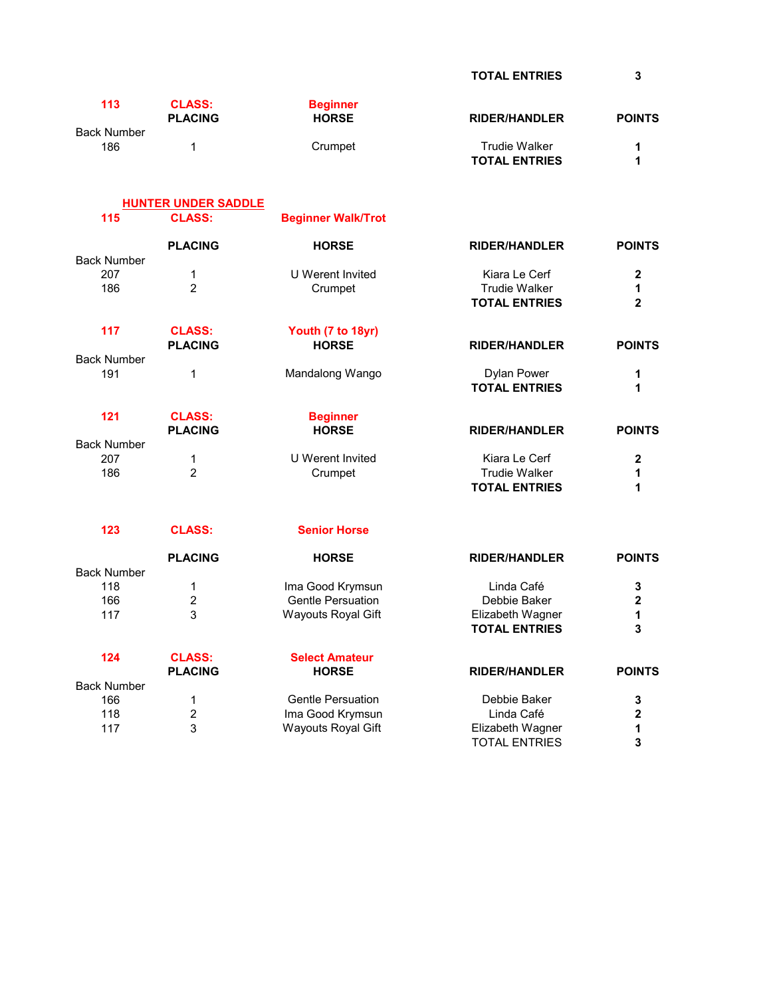TOTAL ENTRIES 3

| 113                       | <b>CLASS:</b><br><b>PLACING</b> | <b>Beginner</b><br><b>HORSE</b> | <b>RIDER/HANDLER</b>                         | <b>POINTS</b>           |
|---------------------------|---------------------------------|---------------------------------|----------------------------------------------|-------------------------|
| <b>Back Number</b><br>186 | 1                               | Crumpet                         | <b>Trudie Walker</b><br><b>TOTAL ENTRIES</b> | 1<br>1                  |
|                           | <b>HUNTER UNDER SADDLE</b>      |                                 |                                              |                         |
| 115                       | <b>CLASS:</b>                   | <b>Beginner Walk/Trot</b>       |                                              |                         |
|                           | <b>PLACING</b>                  | <b>HORSE</b>                    | <b>RIDER/HANDLER</b>                         | <b>POINTS</b>           |
| <b>Back Number</b>        |                                 |                                 |                                              |                         |
| 207                       | $\mathbf{1}$                    | U Werent Invited                | Kiara Le Cerf                                | $\mathbf 2$             |
| 186                       | $\overline{2}$                  | Crumpet                         | <b>Trudie Walker</b><br><b>TOTAL ENTRIES</b> | 1<br>$\overline{2}$     |
|                           |                                 |                                 |                                              |                         |
| 117                       | <b>CLASS:</b>                   | Youth (7 to 18yr)               |                                              |                         |
|                           | <b>PLACING</b>                  | <b>HORSE</b>                    | <b>RIDER/HANDLER</b>                         | <b>POINTS</b>           |
| <b>Back Number</b>        |                                 |                                 |                                              |                         |
| 191                       | 1                               | Mandalong Wango                 | <b>Dylan Power</b><br><b>TOTAL ENTRIES</b>   | 1<br>1                  |
| 121                       | <b>CLASS:</b>                   | <b>Beginner</b>                 |                                              |                         |
|                           | <b>PLACING</b>                  | <b>HORSE</b>                    | <b>RIDER/HANDLER</b>                         | <b>POINTS</b>           |
| <b>Back Number</b>        |                                 |                                 |                                              |                         |
| 207                       | $\mathbf 1$                     | U Werent Invited                | Kiara Le Cerf                                | $\overline{\mathbf{2}}$ |
| 186                       | $\overline{2}$                  | Crumpet                         | <b>Trudie Walker</b>                         | 1                       |
|                           |                                 |                                 | <b>TOTAL ENTRIES</b>                         | 1                       |
| 123                       | <b>CLASS:</b>                   | <b>Senior Horse</b>             |                                              |                         |
|                           | <b>PLACING</b>                  | <b>HORSE</b>                    | <b>RIDER/HANDLER</b>                         | <b>POINTS</b>           |
| <b>Back Number</b>        |                                 |                                 |                                              |                         |
| 118                       | 1                               | Ima Good Krymsun                | Linda Café                                   | 3                       |
| 166                       | $\overline{2}$                  | <b>Gentle Persuation</b>        | Debbie Baker                                 | $\mathbf{2}$            |
| 117                       | 3                               | <b>Wayouts Royal Gift</b>       | Elizabeth Wagner<br><b>TOTAL ENTRIES</b>     | 1<br>3                  |
|                           |                                 |                                 |                                              |                         |
| 124                       | <b>CLASS:</b>                   | <b>Select Amateur</b>           |                                              |                         |
|                           | <b>PLACING</b>                  | <b>HORSE</b>                    | <b>RIDER/HANDLER</b>                         | <b>POINTS</b>           |
| <b>Back Number</b>        |                                 |                                 |                                              |                         |
| 166                       | 1                               | <b>Gentle Persuation</b>        | Debbie Baker                                 | 3                       |
| 118                       | 2                               | Ima Good Krymsun                | Linda Café                                   | $\mathbf{2}$            |
| 117                       | 3                               | Wayouts Royal Gift              | Elizabeth Wagner<br><b>TOTAL ENTRIES</b>     | 1<br>3                  |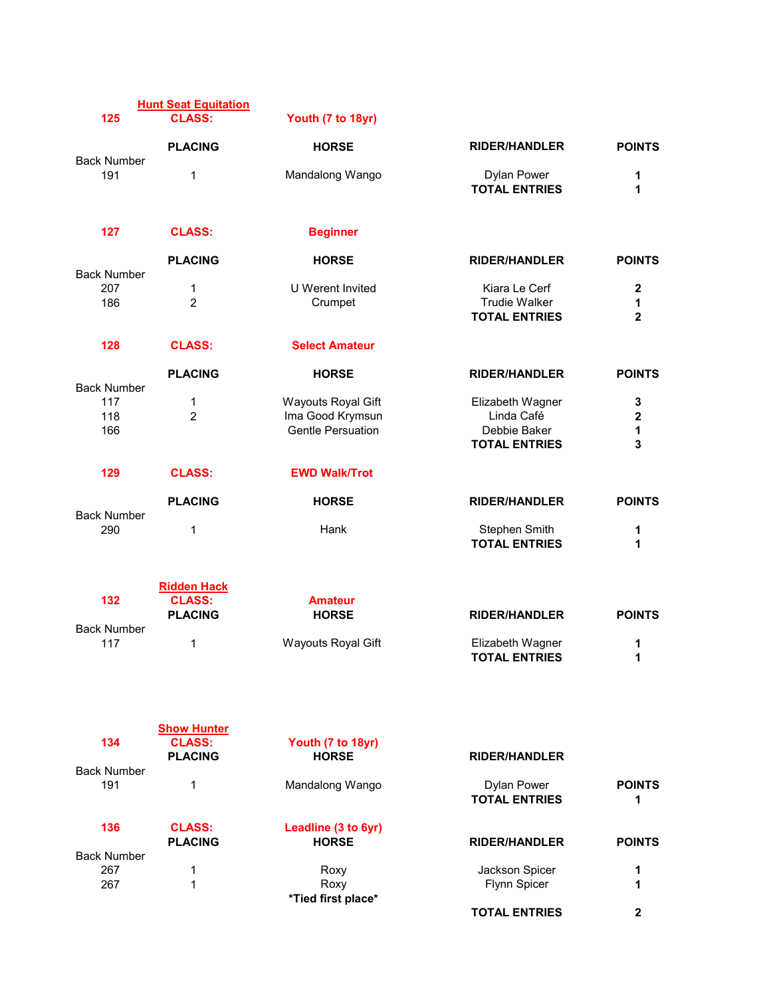|                    | <b>Hunt Seat Equitation</b>         |                                   |                                                               |                                       |
|--------------------|-------------------------------------|-----------------------------------|---------------------------------------------------------------|---------------------------------------|
| 125                | <b>CLASS:</b>                       | Youth (7 to 18yr)                 |                                                               |                                       |
|                    | <b>PLACING</b>                      | <b>HORSE</b>                      | <b>RIDER/HANDLER</b>                                          | <b>POINTS</b>                         |
| <b>Back Number</b> |                                     |                                   |                                                               |                                       |
| 191                | 1                                   | Mandalong Wango                   | <b>Dylan Power</b><br><b>TOTAL ENTRIES</b>                    | 1<br>1                                |
| 127                | <b>CLASS:</b>                       | <b>Beginner</b>                   |                                                               |                                       |
|                    | <b>PLACING</b>                      | <b>HORSE</b>                      | <b>RIDER/HANDLER</b>                                          | <b>POINTS</b>                         |
| <b>Back Number</b> |                                     |                                   |                                                               |                                       |
| 207<br>186         | 1<br>$\overline{2}$                 | U Werent Invited<br>Crumpet       | Kiara Le Cerf<br><b>Trudie Walker</b><br><b>TOTAL ENTRIES</b> | $\boldsymbol{2}$<br>1<br>$\mathbf{2}$ |
|                    |                                     |                                   |                                                               |                                       |
| 128                | <b>CLASS:</b>                       | <b>Select Amateur</b>             |                                                               |                                       |
| <b>Back Number</b> | <b>PLACING</b>                      | <b>HORSE</b>                      | <b>RIDER/HANDLER</b>                                          | <b>POINTS</b>                         |
| 117                | 1                                   | <b>Wayouts Royal Gift</b>         | Elizabeth Wagner                                              | 3                                     |
| 118                | $\overline{2}$                      | Ima Good Krymsun                  | Linda Café                                                    | $\mathbf 2$                           |
| 166                |                                     | <b>Gentle Persuation</b>          | Debbie Baker                                                  | 1                                     |
|                    |                                     |                                   | <b>TOTAL ENTRIES</b>                                          | 3                                     |
| 129                | <b>CLASS:</b>                       | <b>EWD Walk/Trot</b>              |                                                               |                                       |
| <b>Back Number</b> | <b>PLACING</b>                      | <b>HORSE</b>                      | <b>RIDER/HANDLER</b>                                          | <b>POINTS</b>                         |
| 290                | 1                                   | Hank                              | Stephen Smith<br><b>TOTAL ENTRIES</b>                         | 1<br>1                                |
|                    |                                     |                                   |                                                               |                                       |
| 132                | <b>Ridden Hack</b><br><b>CLASS:</b> | <b>Amateur</b>                    |                                                               |                                       |
|                    | <b>PLACING</b>                      |                                   |                                                               | <b>POINTS</b>                         |
| <b>Back Number</b> |                                     | <b>HORSE</b>                      | <b>RIDER/HANDLER</b>                                          |                                       |
| 117                | 1                                   | <b>Wayouts Royal Gift</b>         | Elizabeth Wagner<br><b>TOTAL ENTRIES</b>                      | 1<br>1                                |
|                    |                                     |                                   |                                                               |                                       |
|                    | <b>Show Hunter</b>                  |                                   |                                                               |                                       |
| 134                | <b>CLASS:</b><br><b>PLACING</b>     | Youth (7 to 18yr)<br><b>HORSE</b> | <b>RIDER/HANDLER</b>                                          |                                       |
| <b>Back Number</b> |                                     |                                   |                                                               |                                       |
| 191                | 1                                   | Mandalong Wango                   | <b>Dylan Power</b><br><b>TOTAL ENTRIES</b>                    | <b>POINTS</b><br>1                    |
| 136                | <b>CLASS:</b>                       | Leadline (3 to 6yr)               |                                                               |                                       |
|                    | <b>PLACING</b>                      | <b>HORSE</b>                      | <b>RIDER/HANDLER</b>                                          | <b>POINTS</b>                         |
| <b>Back Number</b> |                                     |                                   |                                                               |                                       |
| 267                | 1                                   | Roxy                              | Jackson Spicer                                                | 1                                     |
| 267                | 1                                   | Roxy                              | Flynn Spicer                                                  | 1                                     |
|                    |                                     | *Tied first place*                |                                                               |                                       |
|                    |                                     |                                   | <b>TOTAL ENTRIES</b>                                          | $\mathbf{2}$                          |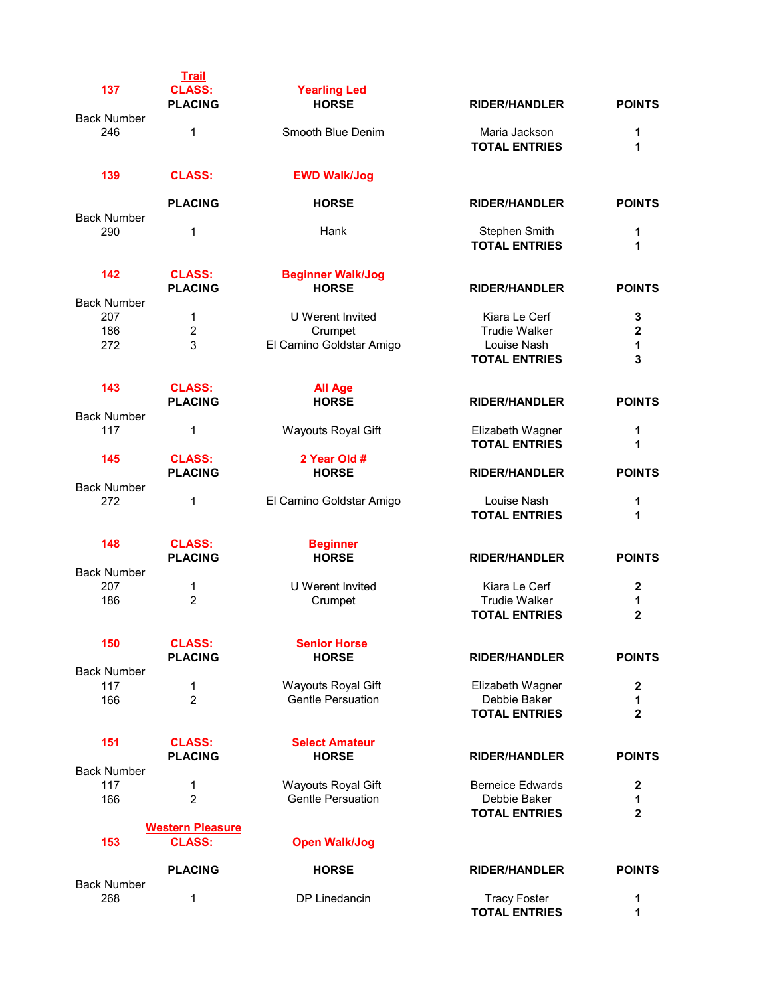| 137                       | <b>Trail</b><br><b>CLASS:</b><br><b>PLACING</b> | <b>Yearling Led</b><br><b>HORSE</b> | <b>RIDER/HANDLER</b>                        | <b>POINTS</b>    |
|---------------------------|-------------------------------------------------|-------------------------------------|---------------------------------------------|------------------|
| <b>Back Number</b>        |                                                 |                                     |                                             |                  |
| 246                       | 1                                               | Smooth Blue Denim                   | Maria Jackson<br><b>TOTAL ENTRIES</b>       | 1<br>1           |
| 139                       | <b>CLASS:</b>                                   | <b>EWD Walk/Jog</b>                 |                                             |                  |
|                           | <b>PLACING</b>                                  | <b>HORSE</b>                        | <b>RIDER/HANDLER</b>                        | <b>POINTS</b>    |
| <b>Back Number</b>        |                                                 |                                     |                                             |                  |
| 290                       | 1                                               | Hank                                | Stephen Smith<br><b>TOTAL ENTRIES</b>       | 1<br>1           |
| 142                       | <b>CLASS:</b>                                   | <b>Beginner Walk/Jog</b>            |                                             |                  |
|                           | <b>PLACING</b>                                  | <b>HORSE</b>                        | <b>RIDER/HANDLER</b>                        | <b>POINTS</b>    |
| <b>Back Number</b>        |                                                 |                                     |                                             |                  |
| 207                       | 1                                               | <b>U</b> Werent Invited             | Kiara Le Cerf                               | 3                |
| 186                       | $\overline{2}$                                  |                                     | <b>Trudie Walker</b>                        | $\mathbf{2}$     |
|                           |                                                 | Crumpet                             |                                             |                  |
| 272                       | 3                                               | El Camino Goldstar Amigo            | Louise Nash<br><b>TOTAL ENTRIES</b>         | 1<br>3           |
| 143                       | <b>CLASS:</b>                                   | <b>All Age</b>                      |                                             |                  |
|                           | <b>PLACING</b>                                  | <b>HORSE</b>                        | <b>RIDER/HANDLER</b>                        | <b>POINTS</b>    |
| <b>Back Number</b>        |                                                 |                                     |                                             |                  |
| 117                       | 1                                               | <b>Wayouts Royal Gift</b>           | Elizabeth Wagner<br><b>TOTAL ENTRIES</b>    | 1<br>1           |
| 145                       | <b>CLASS:</b><br><b>PLACING</b>                 | 2 Year Old #<br><b>HORSE</b>        | <b>RIDER/HANDLER</b>                        | <b>POINTS</b>    |
| <b>Back Number</b>        |                                                 |                                     |                                             |                  |
| 272                       | 1                                               | El Camino Goldstar Amigo            | Louise Nash<br><b>TOTAL ENTRIES</b>         | 1<br>1           |
| 148                       | <b>CLASS:</b><br><b>PLACING</b>                 | <b>Beginner</b><br><b>HORSE</b>     | <b>RIDER/HANDLER</b>                        | <b>POINTS</b>    |
| <b>Back Number</b>        |                                                 |                                     |                                             |                  |
| 207                       | 1                                               | U Werent Invited                    | Kiara Le Cerf                               | $\boldsymbol{2}$ |
| 186                       | $\overline{2}$                                  | Crumpet                             | <b>Trudie Walker</b>                        | 1                |
|                           |                                                 |                                     | <b>TOTAL ENTRIES</b>                        | $\mathbf{2}$     |
| 150                       | <b>CLASS:</b>                                   | <b>Senior Horse</b>                 |                                             |                  |
|                           | <b>PLACING</b>                                  | <b>HORSE</b>                        | <b>RIDER/HANDLER</b>                        | <b>POINTS</b>    |
| <b>Back Number</b>        |                                                 |                                     |                                             |                  |
| 117                       | 1                                               | <b>Wayouts Royal Gift</b>           | Elizabeth Wagner                            | $\bf{2}$         |
| 166                       | $\overline{2}$                                  | <b>Gentle Persuation</b>            | Debbie Baker                                | 1                |
|                           |                                                 |                                     | <b>TOTAL ENTRIES</b>                        | $\mathbf{2}$     |
| 151                       | <b>CLASS:</b>                                   | <b>Select Amateur</b>               |                                             |                  |
|                           | <b>PLACING</b>                                  | <b>HORSE</b>                        | <b>RIDER/HANDLER</b>                        | <b>POINTS</b>    |
| <b>Back Number</b>        |                                                 |                                     |                                             |                  |
| 117                       | 1                                               | Wayouts Royal Gift                  | <b>Berneice Edwards</b>                     | $\mathbf{2}$     |
| 166                       | $\overline{2}$                                  | <b>Gentle Persuation</b>            | Debbie Baker                                | 1                |
|                           |                                                 |                                     | <b>TOTAL ENTRIES</b>                        | $\overline{2}$   |
|                           | <b>Western Pleasure</b>                         |                                     |                                             |                  |
| 153                       | <b>CLASS:</b>                                   | <b>Open Walk/Jog</b>                |                                             |                  |
|                           | <b>PLACING</b>                                  | <b>HORSE</b>                        | <b>RIDER/HANDLER</b>                        | <b>POINTS</b>    |
| <b>Back Number</b><br>268 | 1                                               | DP Linedancin                       |                                             | 1                |
|                           |                                                 |                                     | <b>Tracy Foster</b><br><b>TOTAL ENTRIES</b> | 1                |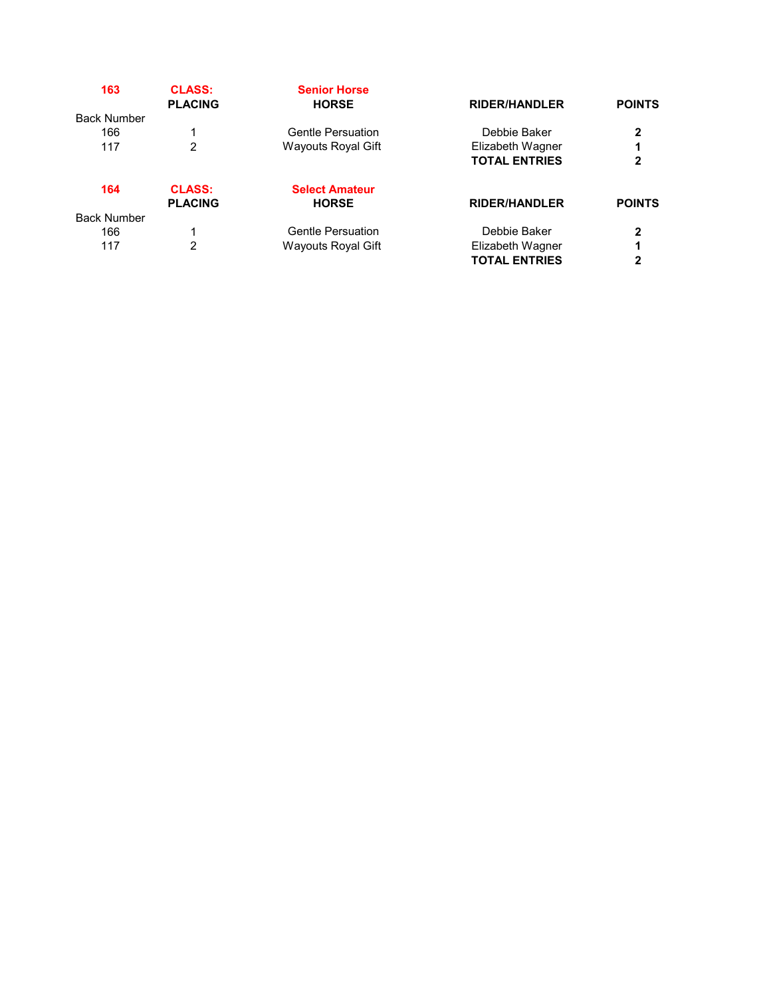| 163                | <b>CLASS:</b><br><b>PLACING</b> | <b>Senior Horse</b><br><b>HORSE</b> | <b>RIDER/HANDLER</b> | <b>POINTS</b> |
|--------------------|---------------------------------|-------------------------------------|----------------------|---------------|
| <b>Back Number</b> |                                 |                                     |                      |               |
| 166                |                                 | <b>Gentle Persuation</b>            | Debbie Baker         | 2             |
| 117                | 2                               | Wayouts Royal Gift                  | Elizabeth Wagner     |               |
|                    |                                 |                                     | <b>TOTAL ENTRIES</b> | $\mathbf{2}$  |
| 164                | <b>CLASS:</b>                   | <b>Select Amateur</b>               |                      |               |
|                    | <b>PLACING</b>                  | <b>HORSE</b>                        | <b>RIDER/HANDLER</b> | <b>POINTS</b> |
| <b>Back Number</b> |                                 |                                     |                      |               |
| 166                | 1                               | <b>Gentle Persuation</b>            | Debbie Baker         | 2             |
| 117                | 2                               | Wayouts Royal Gift                  | Elizabeth Wagner     |               |
|                    |                                 |                                     | <b>TOTAL ENTRIES</b> | 2             |